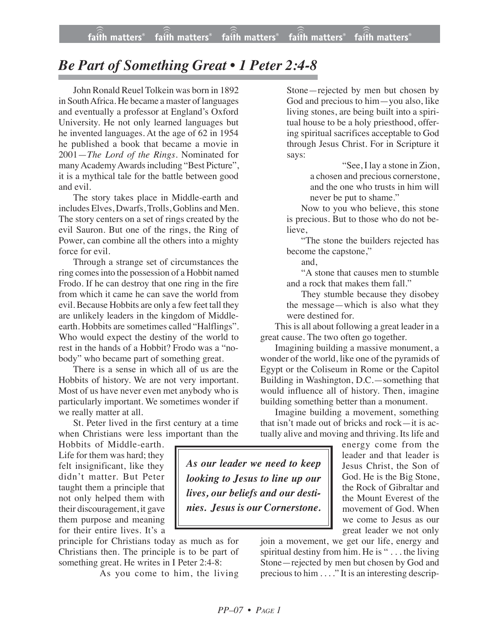*As our leader we need to keep looking to Jesus to line up our lives, our beliefs and our destinies. Jesus is our Cornerstone.*

## *Be Part of Something Great • 1 Peter 2:4-8*

John Ronald Reuel Tolkein was born in 1892 in SouthAfrica. He became a master of languages and eventually a professor at England's Oxford University. He not only learned languages but he invented languages. At the age of 62 in 1954 he published a book that became a movie in 2001—*The Lord of the Rings*. Nominated for many Academy Awards including "Best Picture", it is a mythical tale for the battle between good and evil.

The story takes place in Middle-earth and includes Elves, Dwarfs, Trolls, Goblins and Men. The story centers on a set of rings created by the evil Sauron. But one of the rings, the Ring of Power, can combine all the others into a mighty force for evil.

Through a strange set of circumstances the ring comesinto the possession of a Hobbit named Frodo. If he can destroy that one ring in the fire from which it came he can save the world from evil. Because Hobbits are only a few feet tall they are unlikely leaders in the kingdom of Middleearth. Hobbits are sometimes called "Halflings". Who would expect the destiny of the world to rest in the hands of a Hobbit? Frodo was a "nobody" who became part of something great.

There is a sense in which all of us are the Hobbits of history. We are not very important. Most of us have never even met anybody who is particularly important. We sometimes wonder if we really matter at all.

St. Peter lived in the first century at a time when Christians were less important than the

Hobbits of Middle-earth. Life for them was hard; they felt insignificant, like they didn't matter. But Peter taught them a principle that not only helped them with their discouragement, it gave them purpose and meaning for their entire lives. It's a

principle for Christians today as much as for Christians then. The principle is to be part of something great. He writes in I Peter 2:4-8:

As you come to him, the living

Stone—rejected by men but chosen by God and precious to him—you also, like living stones, are being built into a spiritual house to be a holy priesthood, offering spiritual sacrifices acceptable to God through Jesus Christ. For in Scripture it says:

"See, I lay a stone in Zion, a chosen and precious cornerstone, and the one who trusts in him will never be put to shame."

Now to you who believe, this stone is precious. But to those who do not believe.

"The stone the builders rejected has become the capstone,"

and,

"A stone that causes men to stumble and a rock that makes them fall."

They stumble because they disobey the message—which is also what they were destined for.

This is all about following a great leader in a great cause. The two often go together.

Imagining building a massive monument, a wonder of the world, like one of the pyramids of Egypt or the Coliseum in Rome or the Capitol Building in Washington, D.C.—something that would influence all of history. Then, imagine building something better than a monument.

Imagine building a movement, something that isn't made out of bricks and rock—it is actually alive and moving and thriving. Its life and

> energy come from the leader and that leader is Jesus Christ, the Son of God. He is the Big Stone, the Rock of Gibraltar and the Mount Everest of the movement of God. When we come to Jesus as our great leader we not only

join a movement, we get our life, energy and spiritual destiny from him. He is "... the living Stone—rejected by men but chosen by God and precious to him . . . ." It is an interesting descrip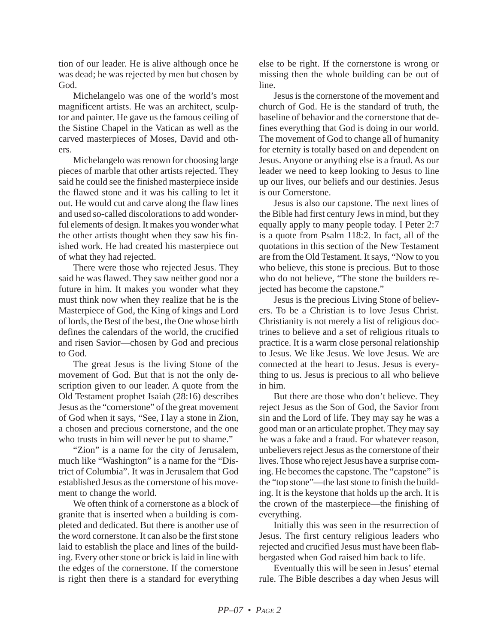tion of our leader. He is alive although once he was dead; he was rejected by men but chosen by God.

Michelangelo was one of the world's most magnificent artists. He was an architect, sculptor and painter. He gave us the famous ceiling of the Sistine Chapel in the Vatican as well as the carved masterpieces of Moses, David and others.

Michelangelo was renown for choosing large pieces of marble that other artists rejected. They said he could see the finished masterpiece inside the flawed stone and it was his calling to let it out. He would cut and carve along the flaw lines and used so-called discolorations to add wonderful elements of design. It makes you wonder what the other artists thought when they saw his finished work. He had created his masterpiece out of what they had rejected.

There were those who rejected Jesus. They said he was flawed. They saw neither good nor a future in him. It makes you wonder what they must think now when they realize that he is the Masterpiece of God, the King of kings and Lord of lords, the Best of the best, the One whose birth defines the calendars of the world, the crucified and risen Savior—chosen by God and precious to God.

The great Jesus is the living Stone of the movement of God. But that is not the only description given to our leader. A quote from the Old Testament prophet Isaiah (28:16) describes Jesus as the "cornerstone" of the great movement of God when it says, "See, I lay a stone in Zion, a chosen and precious cornerstone, and the one who trusts in him will never be put to shame."

"Zion" is a name for the city of Jerusalem, much like "Washington" is a name for the "District of Columbia". It was in Jerusalem that God established Jesus as the cornerstone of his movement to change the world.

We often think of a cornerstone as a block of granite that is inserted when a building is completed and dedicated. But there is another use of the word cornerstone. It can also be the first stone laid to establish the place and lines of the building. Every other stone or brick is laid in line with the edges of the cornerstone. If the cornerstone is right then there is a standard for everything

else to be right. If the cornerstone is wrong or missing then the whole building can be out of line.

Jesus is the cornerstone of the movement and church of God. He is the standard of truth, the baseline of behavior and the cornerstone that defines everything that God is doing in our world. The movement of God to change all of humanity for eternity is totally based on and dependent on Jesus. Anyone or anything else is a fraud. As our leader we need to keep looking to Jesus to line up our lives, our beliefs and our destinies. Jesus is our Cornerstone.

Jesus is also our capstone. The next lines of the Bible had first century Jews in mind, but they equally apply to many people today. I Peter 2:7 is a quote from Psalm 118:2. In fact, all of the quotations in this section of the New Testament are from the Old Testament. It says, "Now to you who believe, this stone is precious. But to those who do not believe, "The stone the builders rejected has become the capstone."

Jesus is the precious Living Stone of believers. To be a Christian is to love Jesus Christ. Christianity is not merely a list of religious doctrines to believe and a set of religious rituals to practice. It is a warm close personal relationship to Jesus. We like Jesus. We love Jesus. We are connected at the heart to Jesus. Jesus is everything to us. Jesus is precious to all who believe in him.

But there are those who don't believe. They reject Jesus as the Son of God, the Savior from sin and the Lord of life. They may say he was a good man or an articulate prophet. They may say he was a fake and a fraud. For whatever reason, unbelievers reject Jesus as the cornerstone of their lives. Those who reject Jesus have a surprise coming. He becomes the capstone. The "capstone" is the "top stone"—the last stone to finish the building. It is the keystone that holds up the arch. It is the crown of the masterpiece—the finishing of everything.

Initially this was seen in the resurrection of Jesus. The first century religious leaders who rejected and crucified Jesus must have been flabbergasted when God raised him back to life.

Eventually this will be seen in Jesus' eternal rule. The Bible describes a day when Jesus will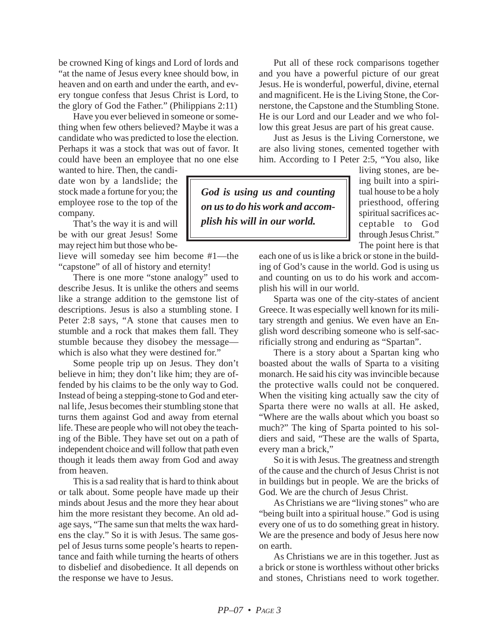be crowned King of kings and Lord of lords and "at the name of Jesus every knee should bow, in heaven and on earth and under the earth, and every tongue confess that Jesus Christ is Lord, to the glory of God the Father." (Philippians 2:11)

Have you ever believed in someone or something when few others believed? Maybe it was a candidate who was predicted to lose the election. Perhaps it was a stock that was out of favor. It could have been an employee that no one else

wanted to hire. Then, the candidate won by a landslide; the stock made a fortune for you; the employee rose to the top of the company.

That's the way it is and will be with our great Jesus! Some may reject him but those who be-

lieve will someday see him become #1—the "capstone" of all of history and eternity!

There is one more "stone analogy" used to describe Jesus. It is unlike the others and seems like a strange addition to the gemstone list of descriptions. Jesus is also a stumbling stone. I Peter 2:8 says, "A stone that causes men to stumble and a rock that makes them fall. They stumble because they disobey the message which is also what they were destined for."

Some people trip up on Jesus. They don't believe in him; they don't like him; they are offended by his claims to be the only way to God. Instead of being a stepping-stone to God and eternal life, Jesus becomes their stumbling stone that turns them against God and away from eternal life. These are people who will not obey the teaching of the Bible. They have set out on a path of independent choice and will follow that path even though it leads them away from God and away from heaven.

This is a sad reality that is hard to think about or talk about. Some people have made up their minds about Jesus and the more they hear about him the more resistant they become. An old adage says, "The same sun that melts the wax hardens the clay." So it is with Jesus. The same gospel of Jesus turns some people's hearts to repentance and faith while turning the hearts of others to disbelief and disobedience. It all depends on the response we have to Jesus.

Put all of these rock comparisons together and you have a powerful picture of our great Jesus. He is wonderful, powerful, divine, eternal and magnificent. He is the Living Stone, the Cornerstone, the Capstone and the Stumbling Stone. He is our Lord and our Leader and we who follow this great Jesus are part of his great cause.

Just as Jesus is the Living Cornerstone, we are also living stones, cemented together with him. According to I Peter 2:5, "You also, like

*God is using us and counting on us to do his work and accomplish his will in our world.*

living stones, are being built into a spiritual house to be a holy priesthood, offering spiritual sacrifices acceptable to God through Jesus Christ." The point here is that

each one of us is like a brick or stone in the building of God's cause in the world. God is using us and counting on us to do his work and accomplish his will in our world.

Sparta was one of the city-states of ancient Greece. It was especially well known for its military strength and genius. We even have an English word describing someone who is self-sacrificially strong and enduring as "Spartan".

There is a story about a Spartan king who boasted about the walls of Sparta to a visiting monarch. He said his city was invincible because the protective walls could not be conquered. When the visiting king actually saw the city of Sparta there were no walls at all. He asked, "Where are the walls about which you boast so much?" The king of Sparta pointed to his soldiers and said, "These are the walls of Sparta, every man a brick,"

So it is with Jesus. The greatness and strength of the cause and the church of Jesus Christ is not in buildings but in people. We are the bricks of God. We are the church of Jesus Christ.

As Christians we are "living stones" who are "being built into a spiritual house." God is using every one of us to do something great in history. We are the presence and body of Jesus here now on earth.

As Christians we are in this together. Just as a brick or stone is worthless without other bricks and stones, Christians need to work together.